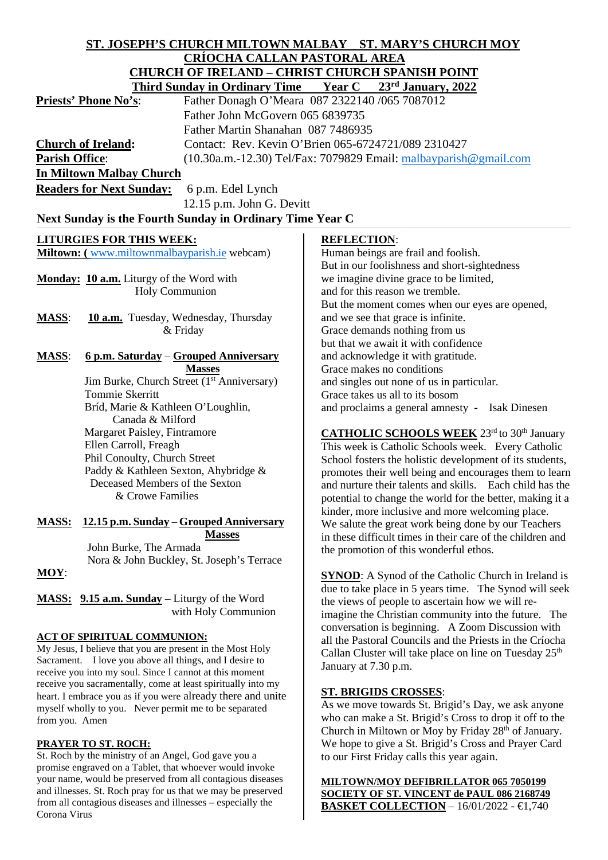# **ST. JOSEPH'S CHURCH MILTOWN MALBAY ST. MARY'S CHURCH MOY CRÍOCHA CALLAN PASTORAL AREA**<br>CHURCH OF IRELAND CHRIST CHURCH SPA **CHURCH OF IRELAND – CHRIST CHURCH SPANISH POINT**

| CHUNCH OF INELAND – CHNIST CHUNCH SFANISH FOINT<br>$23rd$ January, 2022<br><b>Year C</b><br><b>Third Sunday in Ordinary Time</b> |                                                                              |
|----------------------------------------------------------------------------------------------------------------------------------|------------------------------------------------------------------------------|
|                                                                                                                                  |                                                                              |
| Father John McGovern 065 6839735                                                                                                 |                                                                              |
| Father Martin Shanahan 087 7486935                                                                                               |                                                                              |
| <b>Church of Ireland:</b>                                                                                                        | Contact: Rev. Kevin O'Brien 065-6724721/089 2310427                          |
| <b>Parish Office:</b>                                                                                                            | $(10.30a.m.-12.30)$ Tel/Fax: 7079829 Email: malbayparish@gmail.com           |
| In Miltown Malbay Church                                                                                                         |                                                                              |
| <b>Readers for Next Sunday:</b><br>6 p.m. Edel Lynch                                                                             |                                                                              |
|                                                                                                                                  |                                                                              |
| 12.15 p.m. John G. Devitt                                                                                                        |                                                                              |
| Next Sunday is the Fourth Sunday in Ordinary Time Year C                                                                         |                                                                              |
| <b>LITURGIES FOR THIS WEEK:</b>                                                                                                  | <b>REFLECTION:</b>                                                           |
| Miltown: (www.miltownmalbayparish.ie webcam)                                                                                     | Human beings are frail and foolish.                                          |
|                                                                                                                                  | But in our foolishness and short-sightedness                                 |
| Monday: 10 a.m. Liturgy of the Word with                                                                                         | we imagine divine grace to be limited,                                       |
| <b>Holy Communion</b>                                                                                                            | and for this reason we tremble.                                              |
|                                                                                                                                  | But the moment comes when our eyes are opened,                               |
| <b>MASS:</b><br>10 a.m. Tuesday, Wednesday, Thursday                                                                             | and we see that grace is infinite.                                           |
| & Friday                                                                                                                         | Grace demands nothing from us                                                |
|                                                                                                                                  | but that we await it with confidence                                         |
| <b>MASS:</b><br>6 p.m. Saturday – Grouped Anniversary                                                                            | and acknowledge it with gratitude.                                           |
| <b>Masses</b>                                                                                                                    | Grace makes no conditions                                                    |
| Jim Burke, Church Street (1 <sup>st</sup> Anniversary)<br>Tommie Skerritt                                                        | and singles out none of us in particular.<br>Grace takes us all to its bosom |
| Bríd, Marie & Kathleen O'Loughlin,                                                                                               |                                                                              |
| Canada & Milford                                                                                                                 | and proclaims a general amnesty - Isak Dinesen                               |
| Margaret Paisley, Fintramore                                                                                                     | <b>CATHOLIC SCHOOLS WEEK</b> 23rd to 30th January                            |
| Ellen Carroll, Freagh                                                                                                            | This week is Catholic Schools week. Every Catholic                           |
| Phil Conoulty, Church Street                                                                                                     | School fosters the holistic development of its students,                     |
| Paddy & Kathleen Sexton, Ahybridge &                                                                                             | promotes their well being and encourages them to learn                       |
| Deceased Members of the Sexton                                                                                                   | and nurture their talents and skills. Each child has the                     |
| & Crowe Families                                                                                                                 | potential to change the world for the better, making it a                    |
|                                                                                                                                  | kinder, more inclusive and more welcoming place.                             |
| 12.15 p.m. Sunday – Grouped Anniversary<br><b>MASS:</b>                                                                          | We salute the great work being done by our Teachers                          |
| <b>Masses</b><br>John Burke, The Armada                                                                                          | in these difficult times in their care of the children and                   |
|                                                                                                                                  | the promotion of this wonderful ethos.                                       |

Nora & John Buckley, St. Joseph's Terrace

**MASS: 9.15 a.m. Sunday** – Liturgy of the Word with Holy Communion

# **ACT OF SPIRITUAL COMMUNION:**

My Jesus, I believe that you are present in the Most Holy Sacrament. I love you above all things, and I desire to receive you into my soul. Since I cannot at this moment receive you sacramentally, come at least spiritually into my heart. I embrace you as if you were already there and unite myself wholly to you. Never permit me to be separated from you. Amen

### **PRAYER TO ST. ROCH:**

**MOY**:

St. Roch by the ministry of an Angel, God gave you a promise engraved on a Tablet, that whoever would invoke your name, would be preserved from all contagious diseases and illnesses. St. Roch pray for us that we may be preserved from all contagious diseases and illnesses – especially the Corona Virus

**SYNOD**: A Synod of the Catholic Church in Ireland is due to take place in 5 years time. The Synod will seek the views of people to ascertain how we will reimagine the Christian community into the future. The conversation is beginning. A Zoom Discussion with all the Pastoral Councils and the Priests in the Críocha Callan Cluster will take place on line on Tuesday  $25<sup>th</sup>$ January at 7.30 p.m.

# **ST. BRIGIDS CROSSES**:

As we move towards St. Brigid's Day, we ask anyone who can make a St. Brigid's Cross to drop it off to the Church in Miltown or Moy by Friday 28<sup>th</sup> of January. We hope to give a St. Brigid's Cross and Prayer Card to our First Friday calls this year again.

**MILTOWN/MOY DEFIBRILLATOR 065 7050199 SOCIETY OF ST. VINCENT de PAUL 086 2168749 BASKET COLLECTION** – 16/01/2022 - €1,740